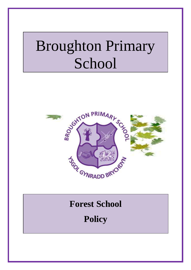# Broughton Primary School



# **Forest School**

**Policy**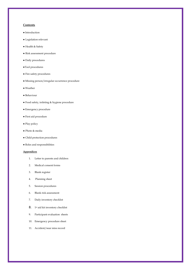#### **Contents**

- Introduction
- Legislation relevant
- Health & Safety
- Risk assessment procedure
- Daily procedures
- ●Tool procedures
- Fire safety procedures
- Missing person/irregular occurrence procedure
- Weather
- Behaviour
- Food safety, toileting & hygiene procedure
- Emergency procedure
- First aid procedure
- Play policy
- Photo & media
- Child protection procedures
- $\bullet$  Roles and responsibilities

#### **Appendices**

- 1. Letter to parents and children
- 2. Medical consent forms
- 3. Blank register
- 4. Planning sheet
- 5. Session procedures
- 6. Blank risk assessment
- 7. Daily inventory checklist
- 8. 1<sup>st</sup> aid kit inventory checklist
- 9. Participant evaluation sheets
- 10. Emergency procedure sheet
- 11. Accident/near miss record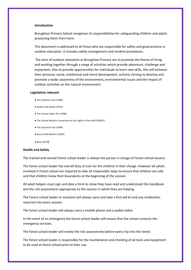#### **Introduction**

Broughton Primary School recognises its responsibilities for safeguarding children and adults protecting them from harm.

This document is addressed to all those who are responsible for safety and good practice in outdoor education. It includes safety management and incident procedures.

The aims of outdoor education at Broughton Primary are to promote the theme of living and working together through a range of activities which provide adventure, challenge and enjoyment. Also to provide opportunities for individuals to learn new skills, this will enhance their personal, social, intellectual and moral development, actively striving to develop and promote a wider awareness of the environment, environmental issues and the impact of outdoor activities on the natural environment.

#### **Legislation relevant**

- **●** The Children's Act (1989)
- Health and Safety (1974)
- **●** The Human rights Act (1998)
- The United Nations Convention on the rights of the child (UNCRC)
- The Education Act (1996)
- Every Child Matters (2003)
- SEAL (1970)

#### **Health and Safety**

The trained and named Forest school leader is always the person in charge of Forest school lessons.

The forest school leader has overall duty of care for the children in their charge. However all adults involved in Forest school are required to take all responsible steps to ensure that children are safe and that children know their boundaries at the beginning of the session.

All adult helpers must sign and date a form to show they have read and understood this handbook and the risk assessments appropriate to the session in which they are helping.

The Forest school leader or assistant will always carry and take a first aid kit and any medication required into every session.

The forest school leader will always carry a mobile phone and a walkie talkie.

In the event of an emergency the forest school leader will ensure that the school contacts the emergency services.

The forest school leader will review the risk assessments before every trip into the forest.

The forest school leader is responsible for the maintenance and checking of all tools and equipment to be used at forest school prior to their use.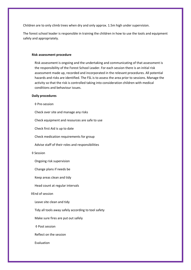Children are to only climb trees when dry and only approx. 1.5m high under supervision.

The forest school leader is responsible in training the children in how to use the tools and equipment safely and appropriately.

#### **Risk assessment procedure**

Risk assessment is ongoing and the undertaking and communicating of that assessment is the responsibility of the Forest School Leader. For each session there is an initial risk assessment made up, recorded and incorporated in the relevant procedures. All potential hazards and risks are identified. The FSL is to assess the area prior to sessions. Manage the activity so that the risk is controlled taking into consideration children with medical conditions and behaviour issues.

#### **Daily procedures**

◊ Pre-session

Check over site and manage any risks

Check equipment and resources are safe to use

Check first Aid is up to date

Check medication requirements for group

Advise staff of their roles and responsibilities

#### ◊ Session

Ongoing risk supervision

Change plans if needs be

Keep areas clean and tidy

Head count at regular intervals

#### ◊End of session

Leave site clean and tidy

Tidy all tools away safely according to tool safety

Make sure fires are put out safely

◊ Post session

Reflect on the session

Evaluation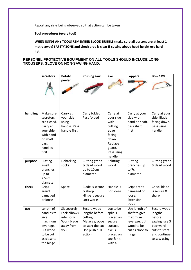Report any risks being observed so that action can be taken

**Tool procedures (every tool)**

**WHEN USING ANY TOOLS REMEMBER BLOOD BUBBLE (make sure all persons are at least 1 metre away) SAFETY ZONE and check area is clear If cutting above head height use hard hat.**

#### **PERSONEL PROTECTIVE EQUIPMENT ON ALL TOOLS SHOULD INCLUDE LONG TROUSERS, GLOVE ON NON-SAWING HAND.**

|          | secretors                                                                                                            | Potato                                                                     | <b>Pruning saw</b>                                                                                       | axe                                                                                                              | <b>Loppers</b>                                                                                       | <b>Bow SAW</b>                                                                                                 |
|----------|----------------------------------------------------------------------------------------------------------------------|----------------------------------------------------------------------------|----------------------------------------------------------------------------------------------------------|------------------------------------------------------------------------------------------------------------------|------------------------------------------------------------------------------------------------------|----------------------------------------------------------------------------------------------------------------|
|          |                                                                                                                      | peeler                                                                     |                                                                                                          |                                                                                                                  |                                                                                                      |                                                                                                                |
| handling | Make sure<br>secretors<br>are closed.<br>Carry at<br>your side<br>with hand<br>on shaft.<br>pass<br>handles<br>first | Carry at<br>your side<br>using<br>handle. Pass<br>handle first.            | Carry folded<br>Pass folded                                                                              | Carry at<br>your side<br>with<br>cutting<br>edge<br>facing<br>down.<br>Replace<br>guard.<br>Pass using<br>handle | Carry at your<br>side with<br>hand on shaft.<br>pass shaft<br>first                                  | Carry at your<br>side. Blade<br>facing down.<br>pass using<br>handle                                           |
| purpose  | Cutting<br>small<br>branches<br>up to<br>2.5cm<br>diameter                                                           | Debarking<br>sticks                                                        | Cutting green<br>& dead wood<br>up to 10cm<br>diameter.                                                  | Splitting<br>wood                                                                                                | Cutting<br>branches up<br>to 7cm<br>diameter                                                         | Cutting green<br>& dead wood                                                                                   |
| check    | Grips<br>aren't<br>damaged<br>or loose                                                                               | Space                                                                      | Blade is secure<br>& sharp<br>Hinge is secure<br>Lock works                                              | Handle is<br>not loose                                                                                           | Grips aren't<br>damaged or<br>loose.<br>Extension<br>locks                                           | Check blade<br>is secure &<br>sharp                                                                            |
| use      | Length of<br>handles to<br>give<br>maximum<br>leverage.<br>Put wood<br>to be cut<br>as close to<br>the hinge         | Sit securely<br>Lock elbows<br>into body<br>Work blade<br>away from<br>you | Secure wood<br>lengths before<br>cutting<br>Make a groove<br>to start the cut<br>Use push pull<br>action | Log to be<br>split is<br>placed on<br>secure<br>surface.<br>axe is<br>placed on<br>top & hit<br>with a           | Use length of<br>shaft to give<br>maximum<br>leverage. put<br>wood to be<br>cut as close to<br>hinge | Secure wood<br>lengths<br>before<br>sawing. use 3<br>backward<br>cuts to start<br>and continue<br>to saw using |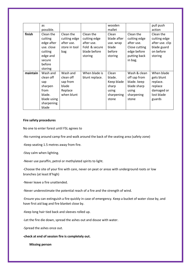|          | as          |               |                | wooden      |               | pull push       |
|----------|-------------|---------------|----------------|-------------|---------------|-----------------|
|          | possible.   |               |                | mallet      |               | action          |
| finish   | Clean the   | Clean the     | Clean the      | Clean       | Clean the     | Clean the       |
|          | cutting     | cutting edge  | cutting edge   | blade after | cutting edge  | cutting edge    |
|          | edge after  | after use.    | after use.     | use. wrap   | after use.    | after use. clip |
|          | use. close  | store in tool | Fold & secure  | blade       | Close cutting | blade guard     |
|          | cutting     | bag           | blade before   | before      | edge before   | on before       |
|          | edge and    |               | storing        | storing     | putting back  | storing         |
|          | secure      |               |                |             | in bag.       |                 |
|          | before      |               |                |             |               |                 |
|          | storing     |               |                |             |               |                 |
| maintain | Wash and    | Wash and      | When blade is  | Clean       | Wash & clean  | When blade      |
|          | clean off   | clean off     | blunt replace. | blade.      | off sap from  | gets blunt      |
|          | sap         | sap from      |                | Keep blade  | blade. keep   | replace.        |
|          | sharpen     | blade         |                | sharp       | blade sharp   | replace         |
|          | from        | Replace       |                | using       | using         | damaged or      |
|          | blade.      | when blunt    |                | sharpening  | sharpening    | lost blade      |
|          | blade using |               |                | stone       | stone         | guards          |
|          | sharpening  |               |                |             |               |                 |
|          | blade       |               |                |             |               |                 |

#### **Fire safety procedures**

No one to enter forest until FSL agrees to

**-**No running around camp fire and walk around the back of the seating area (safety zone)

-Keep seating 1.5 metres away from fire.

**-**Stay calm when lighting.

-Never use paraffin, petrol or methylated spirits to light.

-Choose the site of your fire with care, never on peat or areas with underground roots or low branches (at least 8'high)

-Never leave a fire unattended.

-Never underestimate the potential reach of a fire and the strength of wind.

-Ensure you can extinguish a fire quickly in case of emergency. Keep a bucket of water close by, and have first aid bag and fire blanket close by.

-Keep long hair tied back and sleeves rolled up.

-Let the fire die down, spread the ashes out and douse with water.

-Spread the ashes once out.

**-check at end of session fire is completely out.**

 **Missing person**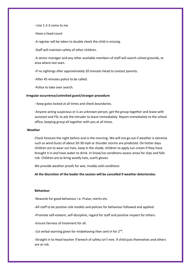**-** Use 1-2-3 come to me

**-**Have a head count

-A register will be taken to double check the child is missing.

-Staff will maintain safety of other children.

-A senior manager and any other available members of staff will search school grounds, or area where last seen.

-If no sightings after approximately 20 minutes Head to contact parents.

-After 45 minutes police to be called.

-Police to take over search.

#### **Irregular occurrence/uninvited guest/stranger procedure**

- Keep gates locked at all times and check boundaries.

-Anyone acting suspicious or is an unknown person, get the group together and leave with assistant and FSL to ask the intruder to leave immediately. Report immediately to the school office, keeping group all together with you at all times.

#### **Weather**

Check forecast the night before and in the morning. We will not go out if weather is extreme such as wind Gusts of about 20-30 mph or thunder storms are predicted. On hotter days children are to wear sun hats, keep in the shade, children to apply sun cream if they have brought it in and have water to drink. In Snow/ice conditions assess areas for slips and falls risk. Children are to bring woolly hats, scarfs gloves.

We provide weather proofs for wet, muddy cold conditions

**At the discretion of the leader the session will be cancelled if weather deteriorates** 

#### **Behaviour**

**-**Rewards for good behaviour i.e. Praise, merits etc.

**-**All staff to be positive role models and policies for behaviour followed and applied.

**-**Promote self-esteem, self-discipline, regard for staff and positive respect for others.

**-**Ensure fairness of treatment for all.

-1st verbal warning given for misbehaving then sent in for 2<sup>nd</sup>.

**-**Straight in to Head teacher if breech of safety isn't met. If child puts themselves and others are at risk.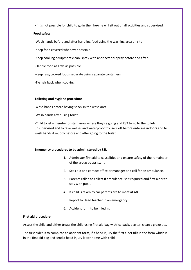**-**If it's not possible for child to go in then he/she will sit out of all activities and supervised.

#### **Food safety**

-Wash hands before and after handling food using the washing area on site

-Keep food covered whenever possible.

-Keep cooking equipment clean, spray with antibacterial spray before and after.

-Handle food as little as possible.

-Keep raw/cooked foods separate using separate containers

-Tie hair back when cooking.

#### **Toileting and hygiene procedure**

Wash hands before having snack in the wash area

-Wash hands after using toilet.

-Child to let a member of staff know where they're going and KS2 to go to the toilets unsupervised and to take wellies and waterproof trousers off before entering indoors and to wash hands if muddy before and after going to the toilet.

#### **Emergency procedures to be administered by FSL**

- 1. Administer first aid to causalities and ensure safety of the remainder of the group by assistant.
- 2. Seek aid and contact office or manager and call for an ambulance.
- 3. Parents called to collect if ambulance isn't required and first aider to stay with pupil.
- 4. If child is taken by car parents are to meet at A&E.
- 5. Report to Head teacher in an emergency.
- 6. Accident form to be filled in.

#### **First aid procedure**

Assess the child and either treats the child using first aid bag with ice pack, plaster, clean a graze etc.

The first aider is to complete an accident form, if a head injury the first aider fills in the form which is in the first aid bag and send a head injury letter home with child.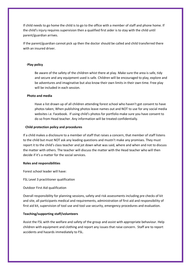If child needs to go home the child is to go to the office with a member of staff and phone home. If the child's injury requires supervision then a qualified first aider is to stay with the child until parent/guardian arrives.

If the parent/guardian cannot pick up then the doctor should be called and child transferred there with an insured driver.

#### -**Play policy**

Be aware of the safety of the children whist there at play. Make sure the area is safe, tidy and secure and any equipment used is safe. Children will be encouraged to play, explore and be adventures and imaginative but also know their own limits in their own time. Free play will be included in each session.

#### **Photo and media**

Have a list drawn up of all children attending forest school who haven't got consent to have photos taken; When publishing photos leave names out and NOT to use for any social media websites i.e. Facebook. If using child's photos for portfolio make sure you have consent to do so from Head teacher. Any information will be treated confidentially.

#### **Child protection policy and procedures**

If a child makes a disclosure to a member of staff that raises a concern, that member of staff listens to the child but must NOT ask any leading questions and mustn't make any promises. They must report it to the child's class teacher and jot down what was said, where and when and not to discuss the matter with others. The teacher will discuss the matter with the Head teacher who will then decide if it's a matter for the social services.

#### **Roles and responsibilities**

Forest school leader will have:

FSL Level 3 practitioner qualification

Outdoor First Aid qualification

Overall responsibility for planning sessions, safety and risk assessments including pre checks of kit and site, all participants medical and requirements, administration of first aid and responsibility of first aid kit, supervision of tool use and tool use security, emergency procedures and evaluation.

#### **Teaching/supporting staff/volunteers**

Assist the FSL with the welfare and safety of the group and assist with appropriate behaviour. Help children with equipment and clothing and report any issues that raise concern. Staff are to report accidents and hazards immediately to FSL.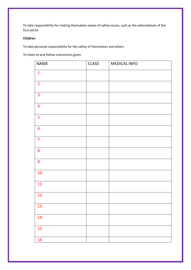To take responsibility for making themselves aware of safety issues, such as the whereabouts of the first aid kit

#### **Children**

To take personal responsibility for the safety of themselves and others

To listen to and follow instructions given

| <b>NAME</b>             | <b>CLASS</b> | <b>MEDICAL INFO</b> |
|-------------------------|--------------|---------------------|
| $\mathbf{1}$            |              |                     |
| $\overline{2}$          |              |                     |
| $\overline{\mathbf{3}}$ |              |                     |
| $\overline{4}$          |              |                     |
| $\overline{\mathbf{5}}$ |              |                     |
| $\boldsymbol{6}$        |              |                     |
| $\overline{7}$          |              |                     |
| 8                       |              |                     |
| 9                       |              |                     |
| 10                      |              |                     |
| 11                      |              |                     |
| 12                      |              |                     |
| 13                      |              |                     |
| 14                      |              |                     |
| 15                      |              |                     |
| 16                      |              |                     |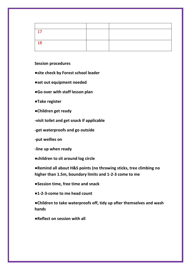| -18 |  |
|-----|--|
|     |  |

#### **Session procedures**

**●site check by Forest school leader**

- **●set out equipment needed**
- **●Go over with staff lesson plan**
- **●Take register**
- **●Children get ready**
- **-visit toilet and get snack if applicable**
- **-get waterproofs and go outside**
- **-put wellies on**
- **-line up when ready**
- **●children to sit around log circle**

**●Remind all about H&S points (no throwing sticks, tree climbing no higher than 1.5m, boundary limits and 1-2-3 come to me**

- **●Session time, free time and snack**
- **●1-2-3-come to me head count**

**●Children to take waterproofs off, tidy up after themselves and wash hands**

**●Reflect on session with all**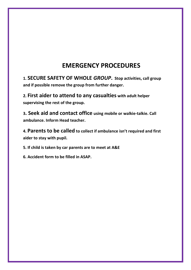### **EMERGENCY PROCEDURES**

**1. SECURE SAFETY OF WHOLE** *GROUP***. Stop activities, call group and if possible remove the group from further danger.**

**2. First aider to attend to any casualties with adult helper supervising the rest of the group.**

**3. Seek aid and contact office using mobile or walkie-talkie. Call ambulance. Inform Head teacher.**

**4. Parents to be called to collect if ambulance isn't required and first aider to stay with pupil.**

**5. If child is taken by car parents are to meet at A&E** 

**6. Accident form to be filled in ASAP.**